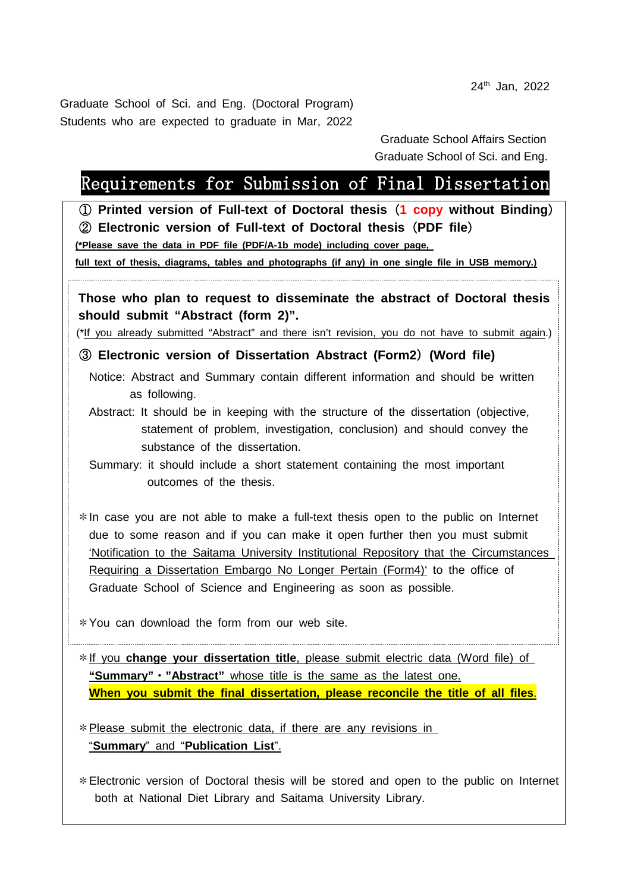24th Jan, 2022

Graduate School of Sci. and Eng. (Doctoral Program) Students who are expected to graduate in Mar, 2022

> Graduate School Affairs Section Graduate School of Sci. and Eng.

## Requirements for Submission of Final Dissertation

① **Printed version of Full-text of Doctoral thesis**(**1 copy without Binding**) ② **Electronic version of Full-text of Doctoral thesis**(**PDF file**)

**(\*Please save the data in PDF file (PDF/A-1b mode) including cover page,** 

**full text of thesis, diagrams, tables and photographs (if any) in one single file in USB memory.)**

**Those who plan to request to disseminate the abstract of Doctoral thesis should submit "Abstract (form 2)".**

(\*If you already submitted "Abstract" and there isn't revision, you do not have to submit again.)

## ③ **Electronic version of Dissertation Abstract (Form2**)**(Word file)**

Notice: Abstract and Summary contain different information and should be written as following.

Abstract: It should be in keeping with the structure of the dissertation (objective, statement of problem, investigation, conclusion) and should convey the substance of the dissertation.

 Summary: it should include a short statement containing the most important outcomes of the thesis.

\*In case you are not able to make a full-text thesis open to the public on Internet due to some reason and if you can make it open further then you must submit 'Notification to the Saitama University Institutional Repository that the Circumstances Requiring a Dissertation Embargo No Longer Pertain (Form4)' to the office of Graduate School of Science and Engineering as soon as possible.

\*You can download the form from our web site.

\*If you **change your dissertation title**, please submit electric data (Word file) of **"Summary"**・**"Abstract"** whose title is the same as the latest one. **When you submit the final dissertation, please reconcile the title of all files**.

 $*$  Please submit the electronic data, if there are any revisions in "**Summary**" and "**Publication List**".

\*Electronic version of Doctoral thesis will be stored and open to the public on Internet both at National Diet Library and Saitama University Library.